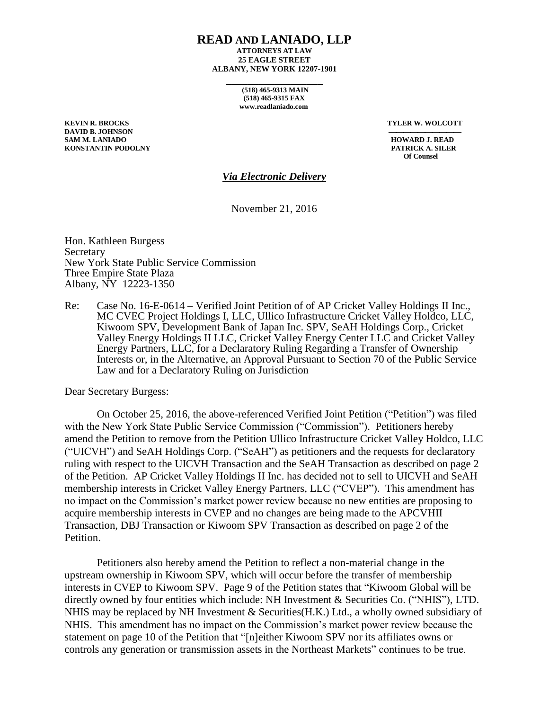## **READ AND LANIADO, LLP**

**ATTORNEYS AT LAW 25 EAGLE STREET ALBANY, NEW YORK 12207-1901**

> **(518) 465-9313 MAIN (518) 465-9315 FAX www.readlaniado.com**

**\_\_\_\_\_\_\_\_\_\_\_\_\_\_\_\_\_\_**

**DAVID B. JOHNSON SAM M. LANIADO HOWARD J. READ KONSTANTIN PODOLNY PATRICK A. SILER**

**KEVIN R. BROCKS TYLER W. WOLCOTT**

 **Of Counsel**

## *Via Electronic Delivery*

November 21, 2016

Hon. Kathleen Burgess Secretary New York State Public Service Commission Three Empire State Plaza Albany, NY 12223-1350

Re: Case No. 16-E-0614 – Verified Joint Petition of of AP Cricket Valley Holdings II Inc., MC CVEC Project Holdings I, LLC, Ullico Infrastructure Cricket Valley Holdco, LLC, Kiwoom SPV, Development Bank of Japan Inc. SPV, SeAH Holdings Corp., Cricket Valley Energy Holdings II LLC, Cricket Valley Energy Center LLC and Cricket Valley Energy Partners, LLC, for a Declaratory Ruling Regarding a Transfer of Ownership Interests or, in the Alternative, an Approval Pursuant to Section 70 of the Public Service Law and for a Declaratory Ruling on Jurisdiction

Dear Secretary Burgess:

On October 25, 2016, the above-referenced Verified Joint Petition ("Petition") was filed with the New York State Public Service Commission ("Commission"). Petitioners hereby amend the Petition to remove from the Petition Ullico Infrastructure Cricket Valley Holdco, LLC ("UICVH") and SeAH Holdings Corp. ("SeAH") as petitioners and the requests for declaratory ruling with respect to the UICVH Transaction and the SeAH Transaction as described on page 2 of the Petition. AP Cricket Valley Holdings II Inc. has decided not to sell to UICVH and SeAH membership interests in Cricket Valley Energy Partners, LLC ("CVEP"). This amendment has no impact on the Commission's market power review because no new entities are proposing to acquire membership interests in CVEP and no changes are being made to the APCVHII Transaction, DBJ Transaction or Kiwoom SPV Transaction as described on page 2 of the Petition.

Petitioners also hereby amend the Petition to reflect a non-material change in the upstream ownership in Kiwoom SPV, which will occur before the transfer of membership interests in CVEP to Kiwoom SPV. Page 9 of the Petition states that "Kiwoom Global will be directly owned by four entities which include: NH Investment & Securities Co. ("NHIS"), LTD. NHIS may be replaced by NH Investment & Securities(H.K.) Ltd., a wholly owned subsidiary of NHIS. This amendment has no impact on the Commission's market power review because the statement on page 10 of the Petition that "[n]either Kiwoom SPV nor its affiliates owns or controls any generation or transmission assets in the Northeast Markets" continues to be true.